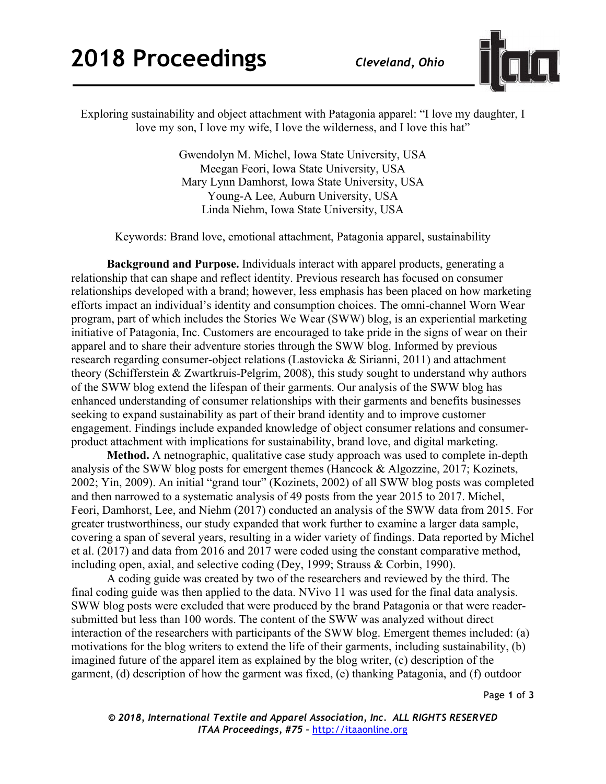

Exploring sustainability and object attachment with Patagonia apparel: "I love my daughter, I love my son, I love my wife, I love the wilderness, and I love this hat"

> Gwendolyn M. Michel, Iowa State University, USA Meegan Feori, Iowa State University, USA Mary Lynn Damhorst, Iowa State University, USA Young-A Lee, Auburn University, USA Linda Niehm, Iowa State University, USA

Keywords: Brand love, emotional attachment, Patagonia apparel, sustainability

**Background and Purpose.** Individuals interact with apparel products, generating a relationship that can shape and reflect identity. Previous research has focused on consumer relationships developed with a brand; however, less emphasis has been placed on how marketing efforts impact an individual's identity and consumption choices. The omni-channel Worn Wear program, part of which includes the Stories We Wear (SWW) blog, is an experiential marketing initiative of Patagonia, Inc. Customers are encouraged to take pride in the signs of wear on their apparel and to share their adventure stories through the SWW blog. Informed by previous research regarding consumer-object relations (Lastovicka & Sirianni, 2011) and attachment theory (Schifferstein & Zwartkruis-Pelgrim, 2008), this study sought to understand why authors of the SWW blog extend the lifespan of their garments. Our analysis of the SWW blog has enhanced understanding of consumer relationships with their garments and benefits businesses seeking to expand sustainability as part of their brand identity and to improve customer engagement. Findings include expanded knowledge of object consumer relations and consumerproduct attachment with implications for sustainability, brand love, and digital marketing.

**Method.** A netnographic, qualitative case study approach was used to complete in-depth analysis of the SWW blog posts for emergent themes (Hancock & Algozzine, 2017; Kozinets, 2002; Yin, 2009). An initial "grand tour" (Kozinets, 2002) of all SWW blog posts was completed and then narrowed to a systematic analysis of 49 posts from the year 2015 to 2017. Michel, Feori, Damhorst, Lee, and Niehm (2017) conducted an analysis of the SWW data from 2015. For greater trustworthiness, our study expanded that work further to examine a larger data sample, covering a span of several years, resulting in a wider variety of findings. Data reported by Michel et al. (2017) and data from 2016 and 2017 were coded using the constant comparative method, including open, axial, and selective coding (Dey, 1999; Strauss & Corbin, 1990).

A coding guide was created by two of the researchers and reviewed by the third. The final coding guide was then applied to the data. NVivo 11 was used for the final data analysis. SWW blog posts were excluded that were produced by the brand Patagonia or that were readersubmitted but less than 100 words. The content of the SWW was analyzed without direct interaction of the researchers with participants of the SWW blog. Emergent themes included: (a) motivations for the blog writers to extend the life of their garments, including sustainability, (b) imagined future of the apparel item as explained by the blog writer, (c) description of the garment, (d) description of how the garment was fixed, (e) thanking Patagonia, and (f) outdoor

Page **1** of **3**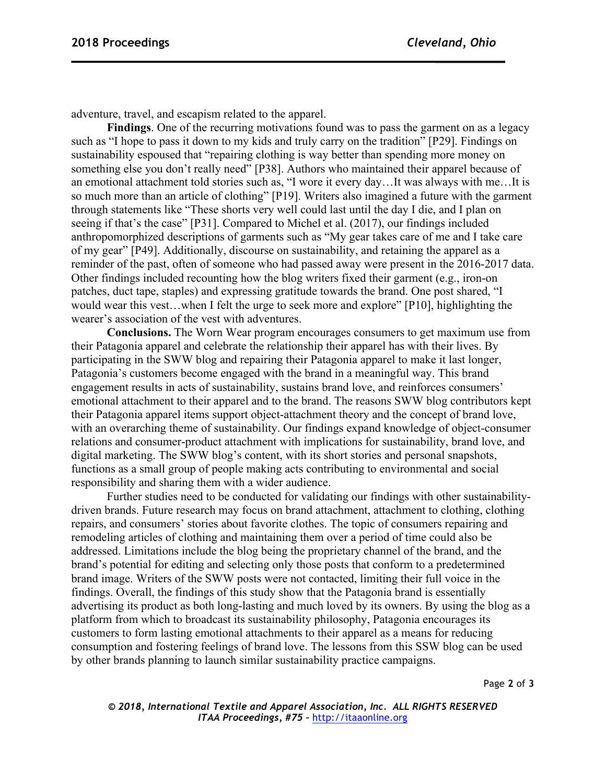adventure, travel, and escapism related to the apparel.

**Findings**. One of the recurring motivations found was to pass the garment on as a legacy such as "I hope to pass it down to my kids and truly carry on the tradition" [P29]. Findings on sustainability espoused that "repairing clothing is way better than spending more money on something else you don't really need" [P38]. Authors who maintained their apparel because of an emotional attachment told stories such as, "I wore it every day…It was always with me…It is so much more than an article of clothing" [P19]. Writers also imagined a future with the garment through statements like "These shorts very well could last until the day I die, and I plan on seeing if that's the case" [P31]. Compared to Michel et al. (2017), our findings included anthropomorphized descriptions of garments such as "My gear takes care of me and I take care of my gear" [P49]. Additionally, discourse on sustainability, and retaining the apparel as a reminder of the past, often of someone who had passed away were present in the 2016-2017 data. Other findings included recounting how the blog writers fixed their garment (e.g., iron-on patches, duct tape, staples) and expressing gratitude towards the brand. One post shared, "I would wear this vest…when I felt the urge to seek more and explore" [P10], highlighting the wearer's association of the vest with adventures.

**Conclusions.** The Worn Wear program encourages consumers to get maximum use from their Patagonia apparel and celebrate the relationship their apparel has with their lives. By participating in the SWW blog and repairing their Patagonia apparel to make it last longer, Patagonia's customers become engaged with the brand in a meaningful way. This brand engagement results in acts of sustainability, sustains brand love, and reinforces consumers' emotional attachment to their apparel and to the brand. The reasons SWW blog contributors kept their Patagonia apparel items support object-attachment theory and the concept of brand love, with an overarching theme of sustainability. Our findings expand knowledge of object-consumer relations and consumer-product attachment with implications for sustainability, brand love, and digital marketing. The SWW blog's content, with its short stories and personal snapshots, functions as a small group of people making acts contributing to environmental and social responsibility and sharing them with a wider audience.

Further studies need to be conducted for validating our findings with other sustainabilitydriven brands. Future research may focus on brand attachment, attachment to clothing, clothing repairs, and consumers' stories about favorite clothes. The topic of consumers repairing and remodeling articles of clothing and maintaining them over a period of time could also be addressed. Limitations include the blog being the proprietary channel of the brand, and the brand's potential for editing and selecting only those posts that conform to a predetermined brand image. Writers of the SWW posts were not contacted, limiting their full voice in the findings. Overall, the findings of this study show that the Patagonia brand is essentially advertising its product as both long-lasting and much loved by its owners. By using the blog as a platform from which to broadcast its sustainability philosophy, Patagonia encourages its customers to form lasting emotional attachments to their apparel as a means for reducing consumption and fostering feelings of brand love. The lessons from this SSW blog can be used by other brands planning to launch similar sustainability practice campaigns.

Page **2** of **3**

*© 2018, International Textile and Apparel Association, Inc. ALL RIGHTS RESERVED ITAA Proceedings, #75 –* http://itaaonline.org